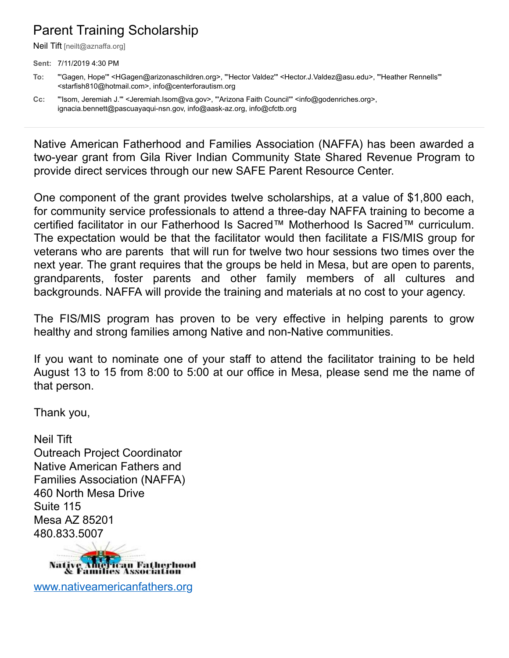## Parent Training Scholarship

Neil Tift [neilt@aznaffa.org]

**Sent:** 7/11/2019 4:30 PM

**Cc:** "'Isom, Jeremiah J.'" <Jeremiah.Isom@va.gov>, "'Arizona Faith Council'" <info@godenriches.org>, ignacia.bennett@pascuayaqui-nsn.gov, info@aask-az.org, info@cfctb.org

Native American Fatherhood and Families Association (NAFFA) has been awarded a two-year grant from Gila River Indian Community State Shared Revenue Program to provide direct services through our new SAFE Parent Resource Center.

One component of the grant provides twelve scholarships, at a value of \$1,800 each, for community service professionals to attend a three-day NAFFA training to become a certified facilitator in our Fatherhood Is Sacred™ Motherhood Is Sacred™ curriculum. The expectation would be that the facilitator would then facilitate a FIS/MIS group for veterans who are parents that will run for twelve two hour sessions two times over the next year. The grant requires that the groups be held in Mesa, but are open to parents, grandparents, foster parents and other family members of all cultures and backgrounds. NAFFA will provide the training and materials at no cost to your agency.

The FIS/MIS program has proven to be very effective in helping parents to grow healthy and strong families among Native and non-Native communities.

If you want to nominate one of your staff to attend the facilitator training to be held August 13 to 15 from 8:00 to 5:00 at our office in Mesa, please send me the name of that person.

Thank you,

Neil Tift Outreach Project Coordinator Native American Fathers and Families Association (NAFFA) 460 North Mesa Drive Suite 115 Mesa AZ 85201 480.833.5007



[www.nativeamericanfathers.org](http://www.nativeamericanfathers.org/)

**To:** "'Gagen, Hope'" <HGagen@arizonaschildren.org>, "'Hector Valdez'" <Hector.J.Valdez@asu.edu>, "'Heather Rennells'" <starfish810@hotmail.com>, info@centerforautism.org